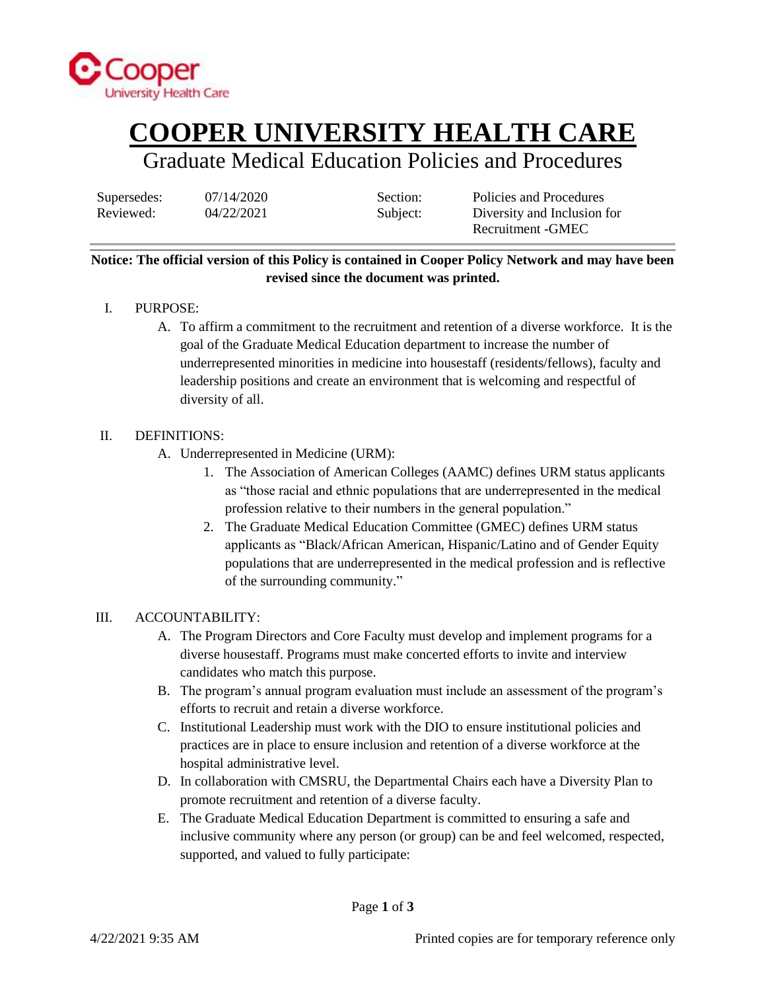

## **COOPER UNIVERSITY HEALTH CARE**

### Graduate Medical Education Policies and Procedures

Supersedes:  $07/14/2020$  Section: Policies and Procedures Reviewed:  $04/22/2021$  Subject: Diversity and Inclusion for Recruitment -GMEC

### **Notice: The official version of this Policy is contained in Cooper Policy Network and may have been revised since the document was printed.**

- I. PURPOSE:
	- A. To affirm a commitment to the recruitment and retention of a diverse workforce. It is the goal of the Graduate Medical Education department to increase the number of underrepresented minorities in medicine into housestaff (residents/fellows), faculty and leadership positions and create an environment that is welcoming and respectful of diversity of all.

#### II. DEFINITIONS:

- A. Underrepresented in Medicine (URM):
	- 1. The Association of American Colleges (AAMC) defines URM status applicants as "those racial and ethnic populations that are underrepresented in the medical profession relative to their numbers in the general population."
	- 2. The Graduate Medical Education Committee (GMEC) defines URM status applicants as "Black/African American, Hispanic/Latino and of Gender Equity populations that are underrepresented in the medical profession and is reflective of the surrounding community."

#### III. ACCOUNTABILITY:

- A. The Program Directors and Core Faculty must develop and implement programs for a diverse housestaff. Programs must make concerted efforts to invite and interview candidates who match this purpose.
- B. The program's annual program evaluation must include an assessment of the program's efforts to recruit and retain a diverse workforce.
- C. Institutional Leadership must work with the DIO to ensure institutional policies and practices are in place to ensure inclusion and retention of a diverse workforce at the hospital administrative level.
- D. In collaboration with CMSRU, the Departmental Chairs each have a Diversity Plan to promote recruitment and retention of a diverse faculty.
- E. The Graduate Medical Education Department is committed to ensuring a safe and inclusive community where any person (or group) can be and feel welcomed, respected, supported, and valued to fully participate: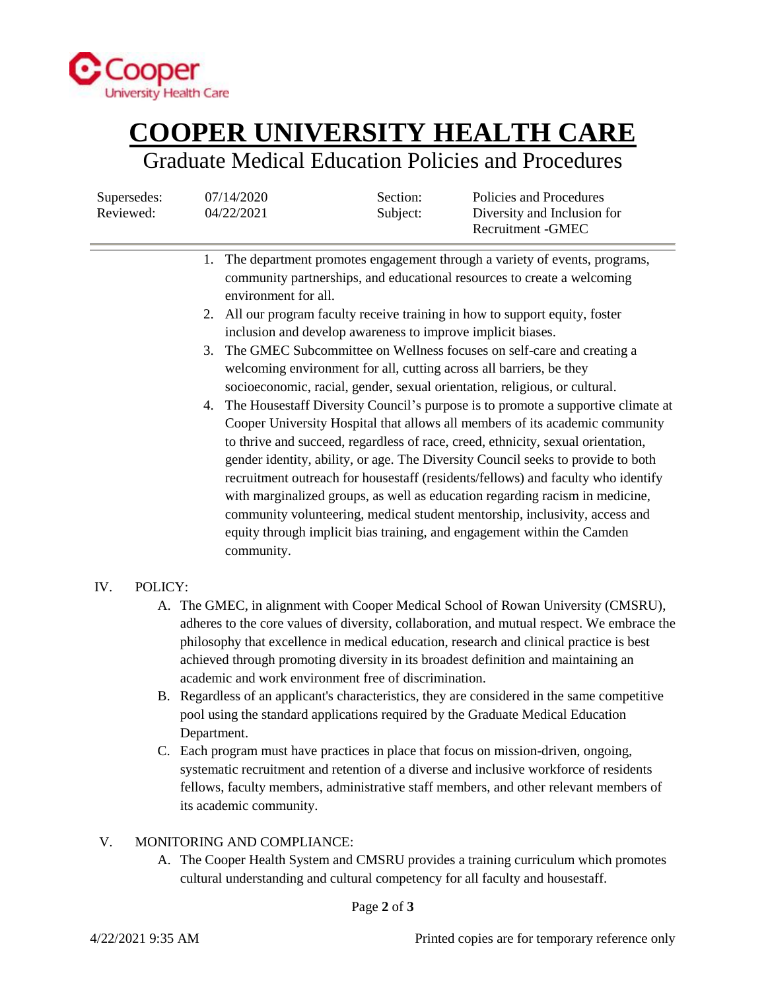

# **COOPER UNIVERSITY HEALTH CARE**

### Graduate Medical Education Policies and Procedures

Supersedes:  $07/14/2020$  Section: Policies and Procedures Reviewed:  $04/22/2021$  Subject: Diversity and Inclusion for Recruitment -GMEC

- 1. The department promotes engagement through a variety of events, programs, community partnerships, and educational resources to create a welcoming environment for all.
- 2. All our program faculty receive training in how to support equity, foster inclusion and develop awareness to improve implicit biases.
- 3. The GMEC Subcommittee on Wellness focuses on self-care and creating a welcoming environment for all, cutting across all barriers, be they socioeconomic, racial, gender, sexual orientation, religious, or cultural.
- 4. The Housestaff Diversity Council's purpose is to promote a supportive climate at Cooper University Hospital that allows all members of its academic community to thrive and succeed, regardless of race, creed, ethnicity, sexual orientation, gender identity, ability, or age. The Diversity Council seeks to provide to both recruitment outreach for housestaff (residents/fellows) and faculty who identify with marginalized groups, as well as education regarding racism in medicine, community volunteering, medical student mentorship, inclusivity, access and equity through implicit bias training, and engagement within the Camden community.

### IV. POLICY:

- A. The GMEC, in alignment with Cooper Medical School of Rowan University (CMSRU), adheres to the core values of diversity, collaboration, and mutual respect. We embrace the philosophy that excellence in medical education, research and clinical practice is best achieved through promoting diversity in its broadest definition and maintaining an academic and work environment free of discrimination.
- B. Regardless of an applicant's characteristics, they are considered in the same competitive pool using the standard applications required by the Graduate Medical Education Department.
- C. Each program must have practices in place that focus on mission-driven, ongoing, systematic recruitment and retention of a diverse and inclusive workforce of residents fellows, faculty members, administrative staff members, and other relevant members of its academic community.

### V. MONITORING AND COMPLIANCE:

A. The Cooper Health System and CMSRU provides a training curriculum which promotes cultural understanding and cultural competency for all faculty and housestaff.

Page **2** of **3**